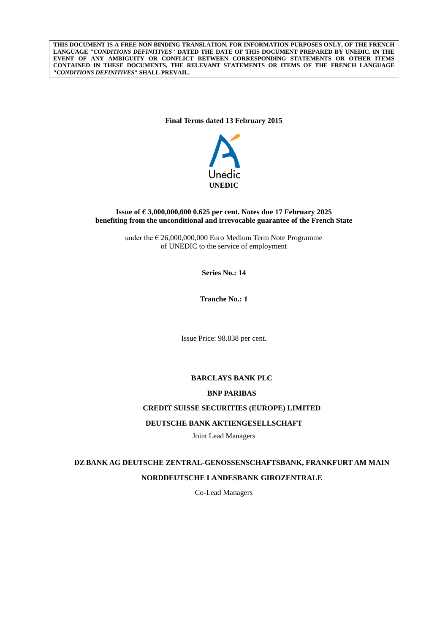**THIS DOCUMENT IS A FREE NON BINDING TRANSLATION, FOR INFORMATION PURPOSES ONLY, OF THE FRENCH LANGUAGE "***CONDITIONS DEFINITIVES***" DATED THE DATE OF THIS DOCUMENT PREPARED BY UNEDIC. IN THE EVENT OF ANY AMBIGUITY OR CONFLICT BETWEEN CORRESPONDING STATEMENTS OR OTHER ITEMS CONTAINED IN THESE DOCUMENTS, THE RELEVANT STATEMENTS OR ITEMS OF THE FRENCH LANGUAGE "***CONDITIONS DEFINITIVES***" SHALL PREVAIL.**

## **Final Terms dated 13 February 2015**



## **Issue of € 3,000,000,000 0.625 per cent. Notes due 17 February 2025 benefiting from the unconditional and irrevocable guarantee of the French State**

under the  $\epsilon$  26,000,000,000 Euro Medium Term Note Programme of UNEDIC to the service of employment

**Series No.: 14**

**Tranche No.: 1**

Issue Price: 98.838 per cent.

## **BARCLAYS BANK PLC**

### **BNP PARIBAS**

## **CREDIT SUISSE SECURITIES (EUROPE) LIMITED**

## **DEUTSCHE BANK AKTIENGESELLSCHAFT**

Joint Lead Managers

# **DZ BANK AG DEUTSCHE ZENTRAL-GENOSSENSCHAFTSBANK, FRANKFURT AM MAIN NORDDEUTSCHE LANDESBANK GIROZENTRALE**

Co-Lead Managers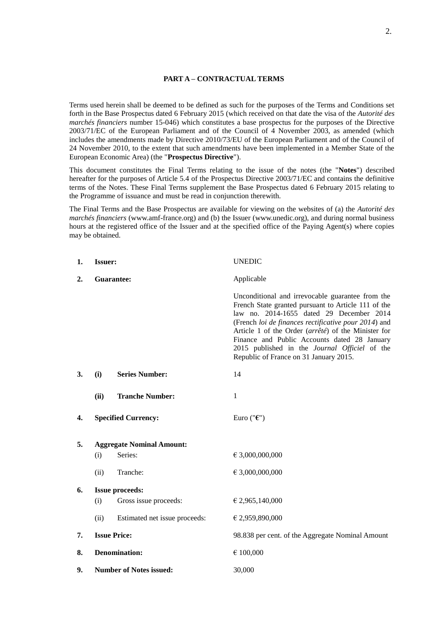## **PART A – CONTRACTUAL TERMS**

Terms used herein shall be deemed to be defined as such for the purposes of the Terms and Conditions set forth in the Base Prospectus dated 6 February 2015 (which received on that date the visa of the *Autorité des marchés financiers* number 15-046) which constitutes a base prospectus for the purposes of the Directive 2003/71/EC of the European Parliament and of the Council of 4 November 2003, as amended (which includes the amendments made by Directive 2010/73/EU of the European Parliament and of the Council of 24 November 2010, to the extent that such amendments have been implemented in a Member State of the European Economic Area) (the "**Prospectus Directive**").

This document constitutes the Final Terms relating to the issue of the notes (the "**Notes**") described hereafter for the purposes of Article 5.4 of the Prospectus Directive 2003/71/EC and contains the definitive terms of the Notes. These Final Terms supplement the Base Prospectus dated 6 February 2015 relating to the Programme of issuance and must be read in conjunction therewith.

The Final Terms and the Base Prospectus are available for viewing on the websites of (a) the *Autorité des marchés financiers* (www.amf-france.org) and (b) the Issuer (www.unedic.org), and during normal business hours at the registered office of the Issuer and at the specified office of the Paying Agent(s) where copies may be obtained.

| 1. | <b>Issuer:</b> |                                  | <b>UNEDIC</b>                                                                                                                                                                                                                                                                                                                                                                                                 |
|----|----------------|----------------------------------|---------------------------------------------------------------------------------------------------------------------------------------------------------------------------------------------------------------------------------------------------------------------------------------------------------------------------------------------------------------------------------------------------------------|
| 2. | Guarantee:     |                                  | Applicable                                                                                                                                                                                                                                                                                                                                                                                                    |
|    |                |                                  | Unconditional and irrevocable guarantee from the<br>French State granted pursuant to Article 111 of the<br>law no. 2014-1655 dated 29 December 2014<br>(French loi de finances rectificative pour 2014) and<br>Article 1 of the Order (arrêté) of the Minister for<br>Finance and Public Accounts dated 28 January<br>2015 published in the Journal Officiel of the<br>Republic of France on 31 January 2015. |
| 3. | (i)            | <b>Series Number:</b>            | 14                                                                                                                                                                                                                                                                                                                                                                                                            |
|    | (ii)           | <b>Tranche Number:</b>           | $\mathbf{1}$                                                                                                                                                                                                                                                                                                                                                                                                  |
| 4. |                | <b>Specified Currency:</b>       | Euro (" $\epsilon$ ")                                                                                                                                                                                                                                                                                                                                                                                         |
| 5. |                | <b>Aggregate Nominal Amount:</b> |                                                                                                                                                                                                                                                                                                                                                                                                               |
|    | (i)            | Series:                          | € 3,000,000,000                                                                                                                                                                                                                                                                                                                                                                                               |
|    | (ii)           | Tranche:                         | € 3,000,000,000                                                                                                                                                                                                                                                                                                                                                                                               |
| 6. |                | <b>Issue proceeds:</b>           |                                                                                                                                                                                                                                                                                                                                                                                                               |
|    | (i)            | Gross issue proceeds:            | € 2,965,140,000                                                                                                                                                                                                                                                                                                                                                                                               |
|    | (ii)           | Estimated net issue proceeds:    | € 2,959,890,000                                                                                                                                                                                                                                                                                                                                                                                               |
| 7. |                | <b>Issue Price:</b>              | 98.838 per cent. of the Aggregate Nominal Amount                                                                                                                                                                                                                                                                                                                                                              |
| 8. |                | <b>Denomination:</b>             | € 100,000                                                                                                                                                                                                                                                                                                                                                                                                     |
| 9. |                | <b>Number of Notes issued:</b>   | 30,000                                                                                                                                                                                                                                                                                                                                                                                                        |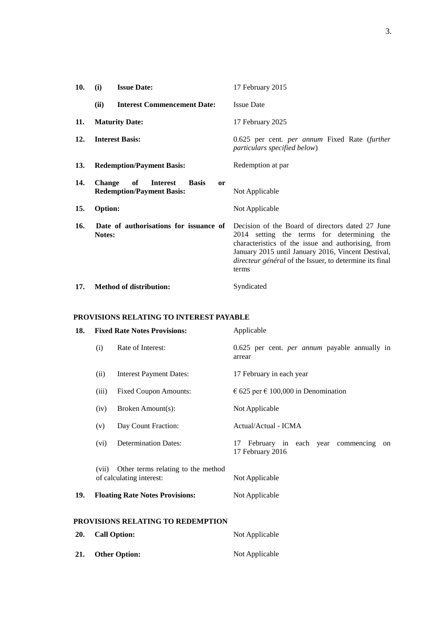| 10.        | (i)<br><b>Issue Date:</b>                                                                                   | 17 February 2015                                                                                                                                                                                                                                                               |
|------------|-------------------------------------------------------------------------------------------------------------|--------------------------------------------------------------------------------------------------------------------------------------------------------------------------------------------------------------------------------------------------------------------------------|
|            | <b>Interest Commencement Date:</b><br>(ii)                                                                  | <b>Issue Date</b>                                                                                                                                                                                                                                                              |
| 11.        | <b>Maturity Date:</b>                                                                                       | 17 February 2025                                                                                                                                                                                                                                                               |
| 12.        | <b>Interest Basis:</b>                                                                                      | 0.625 per cent. per annum Fixed Rate (further<br>particulars specified below)                                                                                                                                                                                                  |
| <b>13.</b> | <b>Redemption/Payment Basis:</b>                                                                            | Redemption at par                                                                                                                                                                                                                                                              |
| 14.        | of<br><b>Change</b><br><b>Interest</b><br><b>Basis</b><br><sub>or</sub><br><b>Redemption/Payment Basis:</b> | Not Applicable                                                                                                                                                                                                                                                                 |
| 15.        | <b>Option:</b>                                                                                              | Not Applicable                                                                                                                                                                                                                                                                 |
| 16.        | Date of authorisations for issuance of<br>Notes:                                                            | Decision of the Board of directors dated 27 June<br>2014 setting the terms for determining the<br>characteristics of the issue and authorising, from<br>January 2015 until January 2016, Vincent Destival,<br>directeur général of the Issuer, to determine its final<br>terms |
| 17.        | <b>Method of distribution:</b>                                                                              | Syndicated                                                                                                                                                                                                                                                                     |

# **PROVISIONS RELATING TO INTEREST PAYABLE**

| 18. |       | <b>Fixed Rate Notes Provisions:</b>                                  | Applicable                                                       |
|-----|-------|----------------------------------------------------------------------|------------------------------------------------------------------|
|     | (i)   | Rate of Interest:                                                    | 0.625 per cent. <i>per annum</i> payable annually in<br>arrear   |
|     | (ii)  | <b>Interest Payment Dates:</b>                                       | 17 February in each year                                         |
|     | (iii) | <b>Fixed Coupon Amounts:</b>                                         | € 625 per € 100,000 in Denomination                              |
|     | (iv)  | Broken Amount(s):                                                    | Not Applicable                                                   |
|     | (v)   | Day Count Fraction:                                                  | Actual/Actual - ICMA                                             |
|     | (vi)  | <b>Determination Dates:</b>                                          | February in each year commencing<br>17<br>on<br>17 February 2016 |
|     |       | (vii) Other terms relating to the method<br>of calculating interest: | Not Applicable                                                   |
| 19. |       | <b>Floating Rate Notes Provisions:</b>                               | Not Applicable                                                   |
|     |       | PROVISIONS RELATING TO REDEMPTION                                    |                                                                  |
| 20. |       | <b>Call Option:</b>                                                  | Not Applicable                                                   |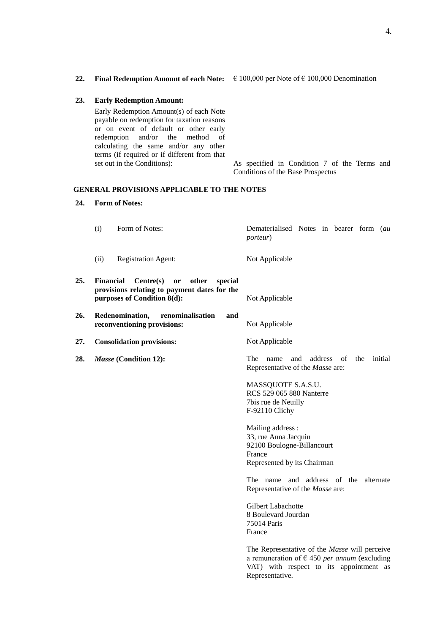| <b>23.</b> | <b>Early Redemption Amount:</b>              |
|------------|----------------------------------------------|
|            | Early Redemption Amount(s) of each Note      |
|            | payable on redemption for taxation reasons   |
|            | or on event of default or other early        |
|            | redemption and/or the method of              |
|            | calculating the same and/or any other        |
|            | terms (if required or if different from that |

## **GENERAL PROVISIONS APPLICABLE TO THE NOTES**

#### **24. Form of Notes:**

(i) Form of Notes: Dematerialised Notes in bearer form (*au porteur*) (ii) Registration Agent: Not Applicable

set out in the Conditions): As specified in Condition 7 of the Terms and

- **25. Financial Centre(s) or other special provisions relating to payment dates for the purposes of Condition 8(d):** Not Applicable
- **26. Redenomination, renominalisation and reconventioning provisions:** Not Applicable
- **27. Consolidation provisions:** Not Applicable
- 

**28.** *Masse* **(Condition 12):** The name and address of the initial Representative of the *Masse* are:

> MASSQUOTE S.A.S.U. RCS 529 065 880 Nanterre 7bis rue de Neuilly F-92110 Clichy

Mailing address : 33, rue Anna Jacquin 92100 Boulogne-Billancourt France Represented by its Chairman

The name and address of the alternate Representative of the *Masse* are:

Gilbert Labachotte 8 Boulevard Jourdan 75014 Paris France

The Representative of the *Masse* will perceive a remuneration of € 450 *per annum* (excluding VAT) with respect to its appointment as Representative.

**22. Final Redemption Amount of each Note:** € 100,000 per Note of € 100,000 Denomination

Conditions of the Base Prospectus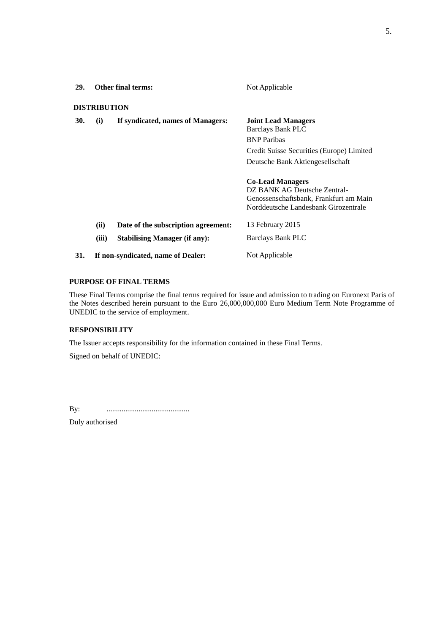| 29. | <b>Other final terms:</b>          |                                                                             | Not Applicable                                                                                                                                                |  |
|-----|------------------------------------|-----------------------------------------------------------------------------|---------------------------------------------------------------------------------------------------------------------------------------------------------------|--|
|     | <b>DISTRIBUTION</b>                |                                                                             |                                                                                                                                                               |  |
| 30. | (i)                                | If syndicated, names of Managers:                                           | <b>Joint Lead Managers</b><br><b>Barclays Bank PLC</b><br><b>BNP</b> Paribas<br>Credit Suisse Securities (Europe) Limited<br>Deutsche Bank Aktiengesellschaft |  |
|     |                                    |                                                                             | <b>Co-Lead Managers</b><br>DZ BANK AG Deutsche Zentral-<br>Genossenschaftsbank, Frankfurt am Main<br>Norddeutsche Landesbank Girozentrale                     |  |
|     | (ii)<br>(iii)                      | Date of the subscription agreement:<br><b>Stabilising Manager (if any):</b> | 13 February 2015<br><b>Barclays Bank PLC</b>                                                                                                                  |  |
| 31. | If non-syndicated, name of Dealer: |                                                                             | Not Applicable                                                                                                                                                |  |

## **PURPOSE OF FINAL TERMS**

These Final Terms comprise the final terms required for issue and admission to trading on Euronext Paris of the Notes described herein pursuant to the Euro 26,000,000,000 Euro Medium Term Note Programme of UNEDIC to the service of employment.

## **RESPONSIBILITY**

The Issuer accepts responsibility for the information contained in these Final Terms.

Signed on behalf of UNEDIC:

By: ............................................

Duly authorised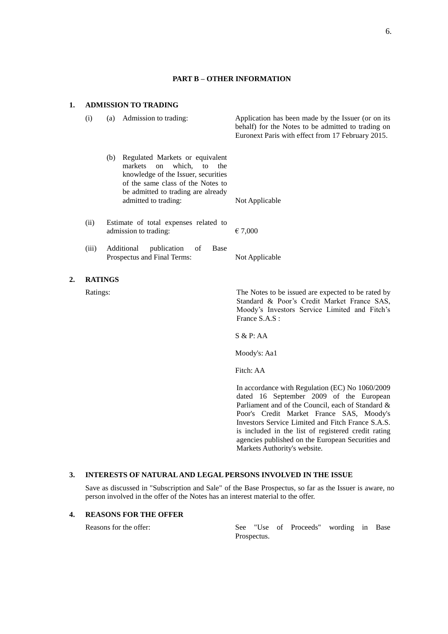## **PART B – OTHER INFORMATION**

## **1. ADMISSION TO TRADING**

 $2.$ 

| (i)            | (a)                                                            | Admission to trading:                                                                                                                                                                                             | Application has been made by the Issuer (or on its<br>behalf) for the Notes to be admitted to trading on<br>Euronext Paris with effect from 17 February 2015.       |
|----------------|----------------------------------------------------------------|-------------------------------------------------------------------------------------------------------------------------------------------------------------------------------------------------------------------|---------------------------------------------------------------------------------------------------------------------------------------------------------------------|
|                | (b)                                                            | Regulated Markets or equivalent<br>which.<br>markets<br>to<br>the<br>on<br>knowledge of the Issuer, securities<br>of the same class of the Notes to<br>be admitted to trading are already<br>admitted to trading: | Not Applicable                                                                                                                                                      |
|                |                                                                |                                                                                                                                                                                                                   |                                                                                                                                                                     |
| (ii)           | Estimate of total expenses related to<br>admission to trading: |                                                                                                                                                                                                                   | € 7,000                                                                                                                                                             |
| (iii)          |                                                                | Additional<br>publication<br><b>Base</b><br>of<br>Prospectus and Final Terms:                                                                                                                                     | Not Applicable                                                                                                                                                      |
| <b>RATINGS</b> |                                                                |                                                                                                                                                                                                                   |                                                                                                                                                                     |
| Ratings:       |                                                                |                                                                                                                                                                                                                   | The Notes to be issued are expected to be rated by<br>Standard & Poor's Credit Market France SAS,<br>Moody's Investors Service Limited and Fitch's<br>France S.A.S: |
|                |                                                                |                                                                                                                                                                                                                   | S & P: AA                                                                                                                                                           |
|                |                                                                |                                                                                                                                                                                                                   | Moody's: Aa1                                                                                                                                                        |
|                |                                                                |                                                                                                                                                                                                                   | Fitch: AA                                                                                                                                                           |
|                |                                                                |                                                                                                                                                                                                                   |                                                                                                                                                                     |

In accordance with Regulation (EC) No 1060/2009 dated 16 September 2009 of the European Parliament and of the Council, each of Standard & Poor's Credit Market France SAS, Moody's Investors Service Limited and Fitch France S.A.S. is included in the list of registered credit rating agencies published on the European Securities and Markets Authority's website.

## **3. INTERESTS OF NATURAL AND LEGAL PERSONS INVOLVED IN THE ISSUE**

Save as discussed in "Subscription and Sale" of the Base Prospectus, so far as the Issuer is aware, no person involved in the offer of the Notes has an interest material to the offer.

## **4. REASONS FOR THE OFFER**

Reasons for the offer: See "Use of Proceeds" wording in Base Prospectus.